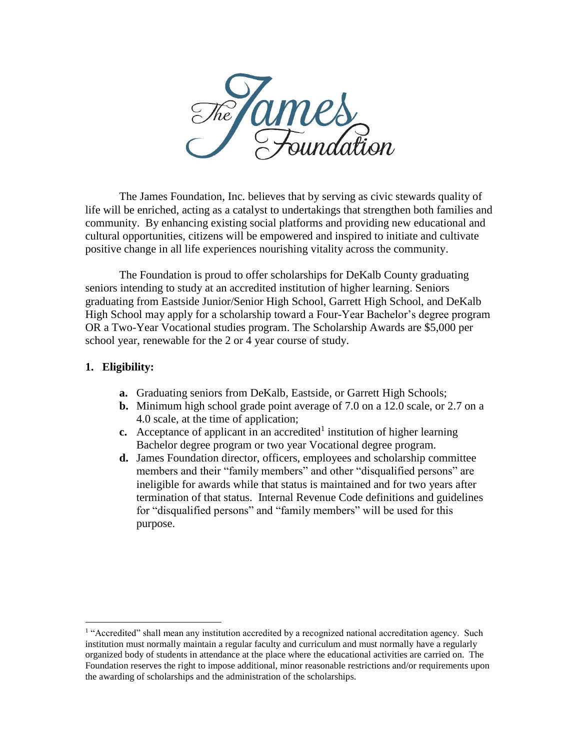

The James Foundation, Inc. believes that by serving as civic stewards quality of life will be enriched, acting as a catalyst to undertakings that strengthen both families and community. By enhancing existing social platforms and providing new educational and cultural opportunities, citizens will be empowered and inspired to initiate and cultivate positive change in all life experiences nourishing vitality across the community.

The Foundation is proud to offer scholarships for DeKalb County graduating seniors intending to study at an accredited institution of higher learning. Seniors graduating from Eastside Junior/Senior High School, Garrett High School, and DeKalb High School may apply for a scholarship toward a Four-Year Bachelor's degree program OR a Two-Year Vocational studies program. The Scholarship Awards are \$5,000 per school year, renewable for the 2 or 4 year course of study.

#### **1. Eligibility:**

l

- **a.** Graduating seniors from DeKalb, Eastside, or Garrett High Schools;
- **b.** Minimum high school grade point average of 7.0 on a 12.0 scale, or 2.7 on a 4.0 scale, at the time of application;
- **c.** Acceptance of applicant in an accredited<sup>1</sup> institution of higher learning Bachelor degree program or two year Vocational degree program.
- **d.** James Foundation director, officers, employees and scholarship committee members and their "family members" and other "disqualified persons" are ineligible for awards while that status is maintained and for two years after termination of that status. Internal Revenue Code definitions and guidelines for "disqualified persons" and "family members" will be used for this purpose.

<sup>&</sup>lt;sup>1</sup> "Accredited" shall mean any institution accredited by a recognized national accreditation agency. Such institution must normally maintain a regular faculty and curriculum and must normally have a regularly organized body of students in attendance at the place where the educational activities are carried on. The Foundation reserves the right to impose additional, minor reasonable restrictions and/or requirements upon the awarding of scholarships and the administration of the scholarships.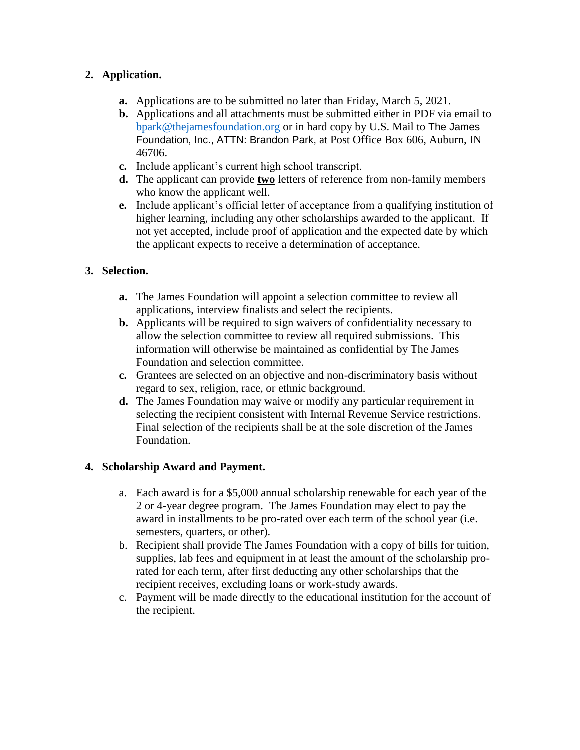# **2. Application.**

- **a.** Applications are to be submitted no later than Friday, March 5, 2021.
- **b.** Applications and all attachments must be submitted either in PDF via email to [bpark@thejamesfoundation.org](mailto:bpark@thejamesfoundation.org) or in hard copy by U.S. Mail to The James Foundation, Inc., ATTN: Brandon Park, at Post Office Box 606, Auburn, IN 46706.
- **c.** Include applicant's current high school transcript.
- **d.** The applicant can provide **two** letters of reference from non-family members who know the applicant well.
- **e.** Include applicant's official letter of acceptance from a qualifying institution of higher learning, including any other scholarships awarded to the applicant. If not yet accepted, include proof of application and the expected date by which the applicant expects to receive a determination of acceptance.

## **3. Selection.**

- **a.** The James Foundation will appoint a selection committee to review all applications, interview finalists and select the recipients.
- **b.** Applicants will be required to sign waivers of confidentiality necessary to allow the selection committee to review all required submissions. This information will otherwise be maintained as confidential by The James Foundation and selection committee.
- **c.** Grantees are selected on an objective and non-discriminatory basis without regard to sex, religion, race, or ethnic background.
- **d.** The James Foundation may waive or modify any particular requirement in selecting the recipient consistent with Internal Revenue Service restrictions. Final selection of the recipients shall be at the sole discretion of the James Foundation.

### **4. Scholarship Award and Payment.**

- a. Each award is for a \$5,000 annual scholarship renewable for each year of the 2 or 4-year degree program. The James Foundation may elect to pay the award in installments to be pro-rated over each term of the school year (i.e. semesters, quarters, or other).
- b. Recipient shall provide The James Foundation with a copy of bills for tuition, supplies, lab fees and equipment in at least the amount of the scholarship prorated for each term, after first deducting any other scholarships that the recipient receives, excluding loans or work-study awards.
- c. Payment will be made directly to the educational institution for the account of the recipient.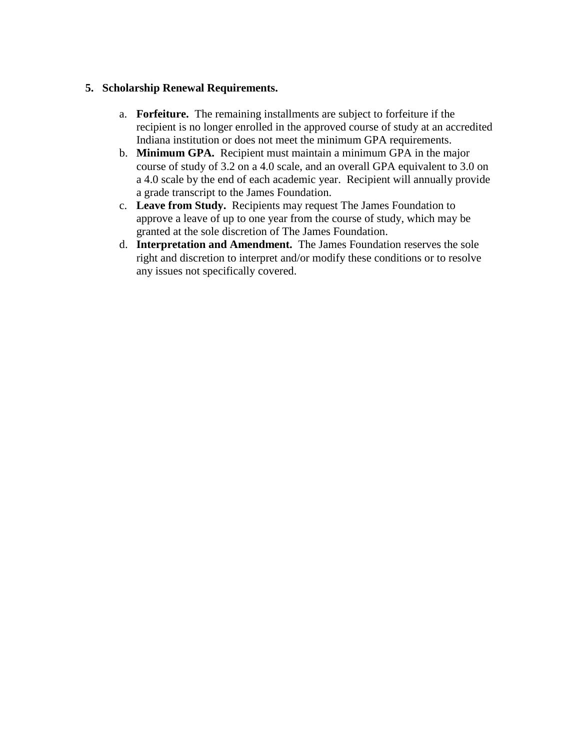#### **5. Scholarship Renewal Requirements.**

- a. **Forfeiture.** The remaining installments are subject to forfeiture if the recipient is no longer enrolled in the approved course of study at an accredited Indiana institution or does not meet the minimum GPA requirements.
- b. **Minimum GPA.** Recipient must maintain a minimum GPA in the major course of study of 3.2 on a 4.0 scale, and an overall GPA equivalent to 3.0 on a 4.0 scale by the end of each academic year. Recipient will annually provide a grade transcript to the James Foundation.
- c. **Leave from Study.** Recipients may request The James Foundation to approve a leave of up to one year from the course of study, which may be granted at the sole discretion of The James Foundation.
- d. **Interpretation and Amendment.** The James Foundation reserves the sole right and discretion to interpret and/or modify these conditions or to resolve any issues not specifically covered.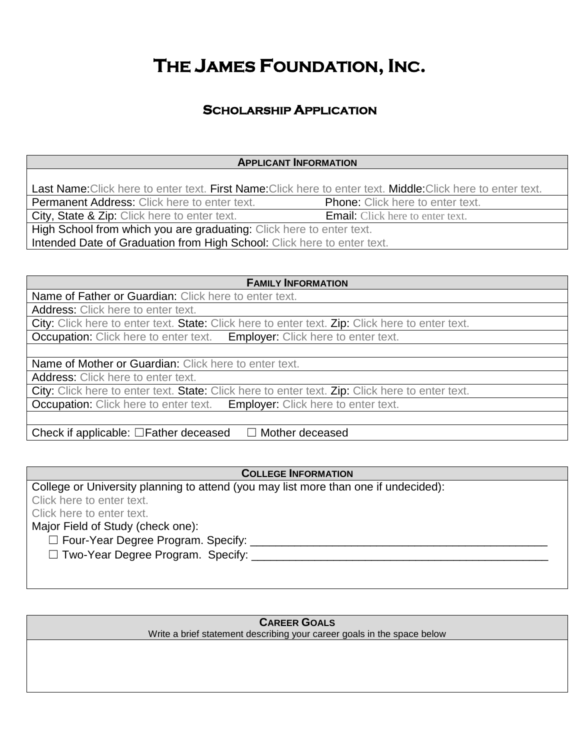# **THE JAMES FOUNDATION, INC.**

# **SCHOLARSHIP APPLICATION**

#### **APPLICANT INFORMATION**

Last Name: Click here to enter text. First Name: Click here to enter text. Middle: Click here to enter text.

Permanent Address: Click here to enter text. Phone: Click here to enter text.

City, State & Zip: Click here to enter text.<br>
Email: Click here to enter text.

High School from which you are graduating: Click here to enter text.

Intended Date of Graduation from High School: Click here to enter text.

**FAMILY INFORMATION**

Name of Father or Guardian: Click here to enter text. Address: Click here to enter text.

City: Click here to enter text. State: Click here to enter text. Zip: Click here to enter text.

Occupation: Click here to enter text. Employer: Click here to enter text.

Name of Mother or Guardian: Click here to enter text.

Address: Click here to enter text.

City: Click here to enter text. State: Click here to enter text. Zip: Click here to enter text.

Occupation: Click here to enter text. Employer: Click here to enter text.

Check if applicable:  $□$ Father deceased  $□$  Mother deceased

**COLLEGE INFORMATION**

College or University planning to attend (you may list more than one if undecided): Click here to enter text. Click here to enter text. Major Field of Study (check one): ☐ Four-Year Degree Program. Specify: \_\_\_\_\_\_\_\_\_\_\_\_\_\_\_\_\_\_\_\_\_\_\_\_\_\_\_\_\_\_\_\_\_\_\_\_\_\_\_\_\_\_\_\_\_\_\_  $\Box$  Two-Year Degree Program. Specify:

### **CAREER GOALS**

Write a brief statement describing your career goals in the space below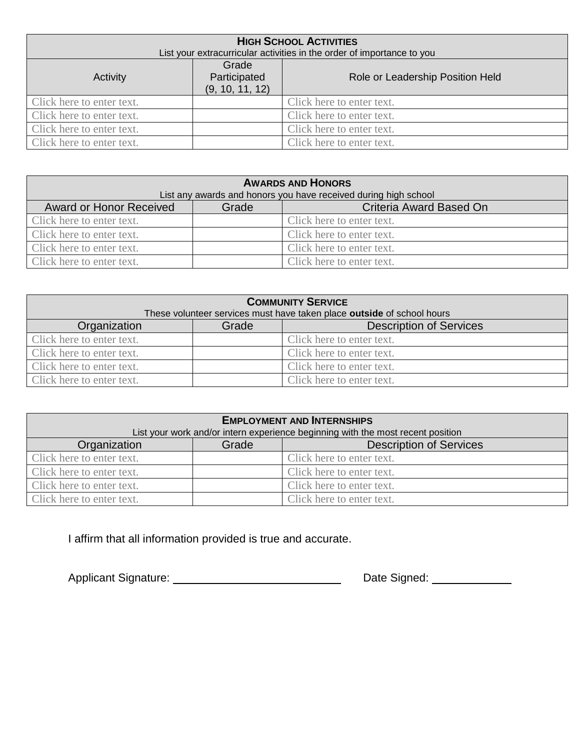| <b>HIGH SCHOOL ACTIVITIES</b>                                          |                                          |                                  |  |  |
|------------------------------------------------------------------------|------------------------------------------|----------------------------------|--|--|
| List your extracurricular activities in the order of importance to you |                                          |                                  |  |  |
| Activity                                                               | Grade<br>Participated<br>(9, 10, 11, 12) | Role or Leadership Position Held |  |  |
| Click here to enter text.                                              |                                          | Click here to enter text.        |  |  |
| Click here to enter text.                                              |                                          | Click here to enter text.        |  |  |
| Click here to enter text.                                              |                                          | Click here to enter text.        |  |  |
| Click here to enter text.                                              |                                          | Click here to enter text.        |  |  |

| <b>AWARDS AND HONORS</b>                                        |       |                           |  |  |
|-----------------------------------------------------------------|-------|---------------------------|--|--|
| List any awards and honors you have received during high school |       |                           |  |  |
| Award or Honor Received                                         | Grade | Criteria Award Based On   |  |  |
| Click here to enter text.                                       |       | Click here to enter text. |  |  |
| Click here to enter text.                                       |       | Click here to enter text. |  |  |
| Click here to enter text.                                       |       | Click here to enter text. |  |  |
| Click here to enter text.                                       |       | Click here to enter text. |  |  |

| <b>COMMUNITY SERVICE</b><br>These volunteer services must have taken place outside of school hours |       |                                |  |  |
|----------------------------------------------------------------------------------------------------|-------|--------------------------------|--|--|
| Organization                                                                                       | Grade | <b>Description of Services</b> |  |  |
| Click here to enter text.                                                                          |       | Click here to enter text.      |  |  |
| Click here to enter text.                                                                          |       | Click here to enter text.      |  |  |
| Click here to enter text.                                                                          |       | Click here to enter text.      |  |  |
| Click here to enter text.                                                                          |       | Click here to enter text.      |  |  |

| <b>EMPLOYMENT AND INTERNSHIPS</b>                                               |       |                                |  |  |  |
|---------------------------------------------------------------------------------|-------|--------------------------------|--|--|--|
| List your work and/or intern experience beginning with the most recent position |       |                                |  |  |  |
| Organization                                                                    | Grade | <b>Description of Services</b> |  |  |  |
| Click here to enter text.                                                       |       | Click here to enter text.      |  |  |  |
| Click here to enter text.                                                       |       | Click here to enter text.      |  |  |  |
| Click here to enter text.                                                       |       | Click here to enter text.      |  |  |  |
| Click here to enter text.                                                       |       | Click here to enter text.      |  |  |  |

I affirm that all information provided is true and accurate.

Applicant Signature: Date Signed: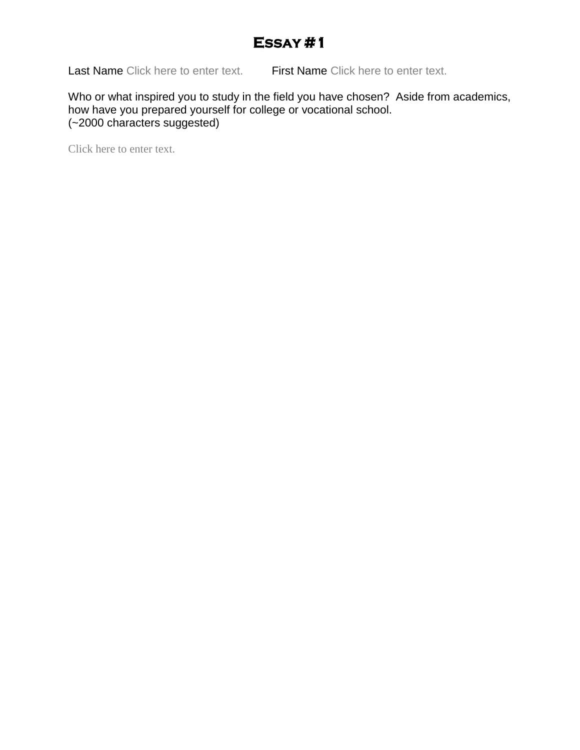# **ESSAY #1**

Last Name Click here to enter text. First Name Click here to enter text.

Who or what inspired you to study in the field you have chosen? Aside from academics, how have you prepared yourself for college or vocational school. (~2000 characters suggested)

Click here to enter text.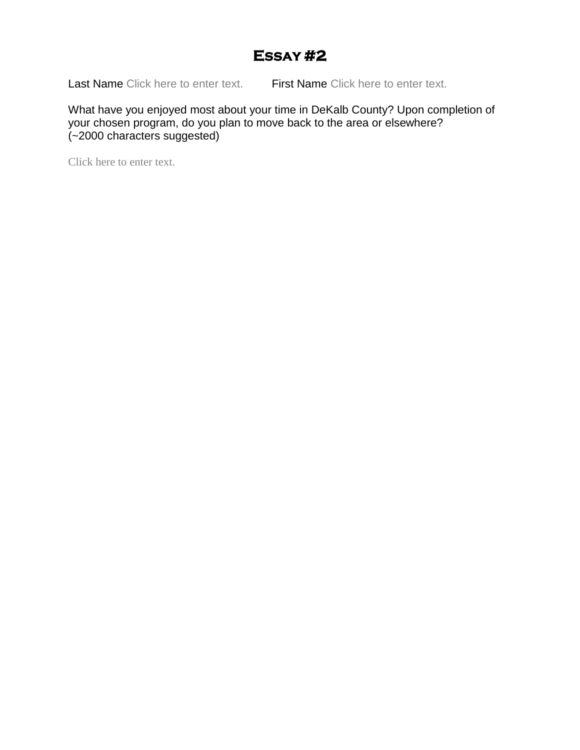# **ESSAY #2**

Last Name Click here to enter text. First Name Click here to enter text.

What have you enjoyed most about your time in DeKalb County? Upon completion of your chosen program, do you plan to move back to the area or elsewhere? (~2000 characters suggested)

Click here to enter text.